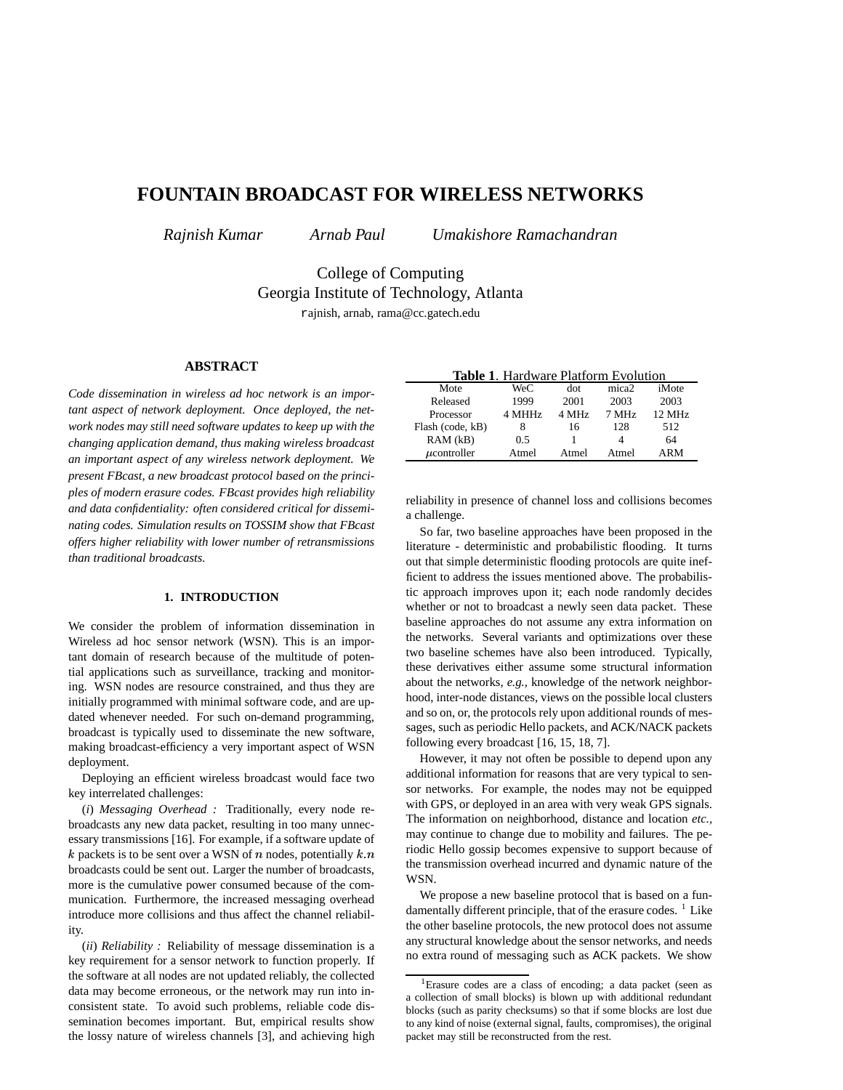# **FOUNTAIN BROADCAST FOR WIRELESS NETWORKS**

*Rajnish Kumar Arnab Paul Umakishore Ramachandran*

College of Computing Georgia Institute of Technology, Atlanta rajnish, arnab, rama@cc.gatech.edu

# **ABSTRACT**

*Code dissemination in wireless ad hoc network is an important aspect of network deployment. Once deployed, the network nodes may still need software updates to keep up with the changing application demand, thus making wireless broadcast an important aspect of any wireless network deployment. We present FBcast, a new broadcast protocol based on the principles of modern erasure codes. FBcast provides high reliability and data confidentiality: often considered critical for disseminating codes. Simulation results on TOSSIM show that FBcast offers higher reliability with lower number of retransmissions than traditional broadcasts.*

# **1. INTRODUCTION**

We consider the problem of information dissemination in Wireless ad hoc sensor network (WSN). This is an important domain of research because of the multitude of potential applications such as surveillance, tracking and monitoring. WSN nodes are resource constrained, and thus they are initially programmed with minimal software code, and are updated whenever needed. For such on-demand programming, broadcast is typically used to disseminate the new software, making broadcast-efficiency a very important aspect of WSN deployment.

Deploying an efficient wireless broadcast would face two key interrelated challenges:

(*i*) *Messaging Overhead :* Traditionally, every node rebroadcasts any new data packet, resulting in too many unnecessary transmissions [16]. For example, if a software update of k packets is to be sent over a WSN of  $n$  nodes, potentially  $k$ broadcasts could be sent out. Larger the number of broadcasts, more is the cumulative power consumed because of the communication. Furthermore, the increased messaging overhead introduce more collisions and thus affect the channel reliability.

(*ii*) *Reliability :* Reliability of message dissemination is a key requirement for a sensor network to function properly. If the software at all nodes are not updated reliably, the collected data may become erroneous, or the network may run into inconsistent state. To avoid such problems, reliable code dissemination becomes important. But, empirical results show the lossy nature of wireless channels [3], and achieving high

| <b>Table 1. Hardware Platform Evolution</b> |        |       |                   |                  |
|---------------------------------------------|--------|-------|-------------------|------------------|
| Mote                                        | WeC    | dot   | mica <sub>2</sub> | iMote            |
| Released                                    | 1999   | 2001  | 2003              | 2003             |
| Processor                                   | 4 MHHz | 4 MHz | 7 MHz             | $12 \text{ MHz}$ |
| Flash (code, kB)                            | 8      | 16    | 128               | 512              |
| RAM(kB)                                     | 0.5    |       | Δ                 | 64               |
| $\mu$ controller                            | Atmel  | Atmel | Atmel             | ARM              |

reliability in presence of channel loss and collisions becomes a challenge.

So far, two baseline approaches have been proposed in the literature - deterministic and probabilistic flooding. It turns out that simple deterministic flooding protocols are quite inefficient to address the issues mentioned above. The probabilistic approach improves upon it; each node randomly decides whether or not to broadcast a newly seen data packet. These baseline approaches do not assume any extra information on the networks. Several variants and optimizations over these two baseline schemes have also been introduced. Typically, these derivatives either assume some structural information about the networks, *e.g.,* knowledge of the network neighborhood, inter-node distances, views on the possible local clusters and so on, or, the protocols rely upon additional rounds of messages, such as periodic Hello packets, and ACK/NACK packets following every broadcast [16, 15, 18, 7].

 $\ddot{\text{t}}$  the transmission overhead incurred and dynamic nature of the However, it may not often be possible to depend upon any additional information for reasons that are very typical to sensor networks. For example, the nodes may not be equipped with GPS, or deployed in an area with very weak GPS signals. The information on neighborhood, distance and location *etc.,* may continue to change due to mobility and failures. The periodic Hello gossip becomes expensive to support because of WSN.

> We propose a new baseline protocol that is based on a fundamentally different principle, that of the erasure codes.  $<sup>1</sup>$  Like</sup> the other baseline protocols, the new protocol does not assume any structural knowledge about the sensor networks, and needs no extra round of messaging such as ACK packets. We show

<sup>&</sup>lt;sup>1</sup>Erasure codes are a class of encoding; a data packet (seen as a collection of small blocks) is blown up with additional redundant blocks (such as parity checksums) so that if some blocks are lost due to any kind of noise (external signal, faults, compromises), the original packet may still be reconstructed from the rest.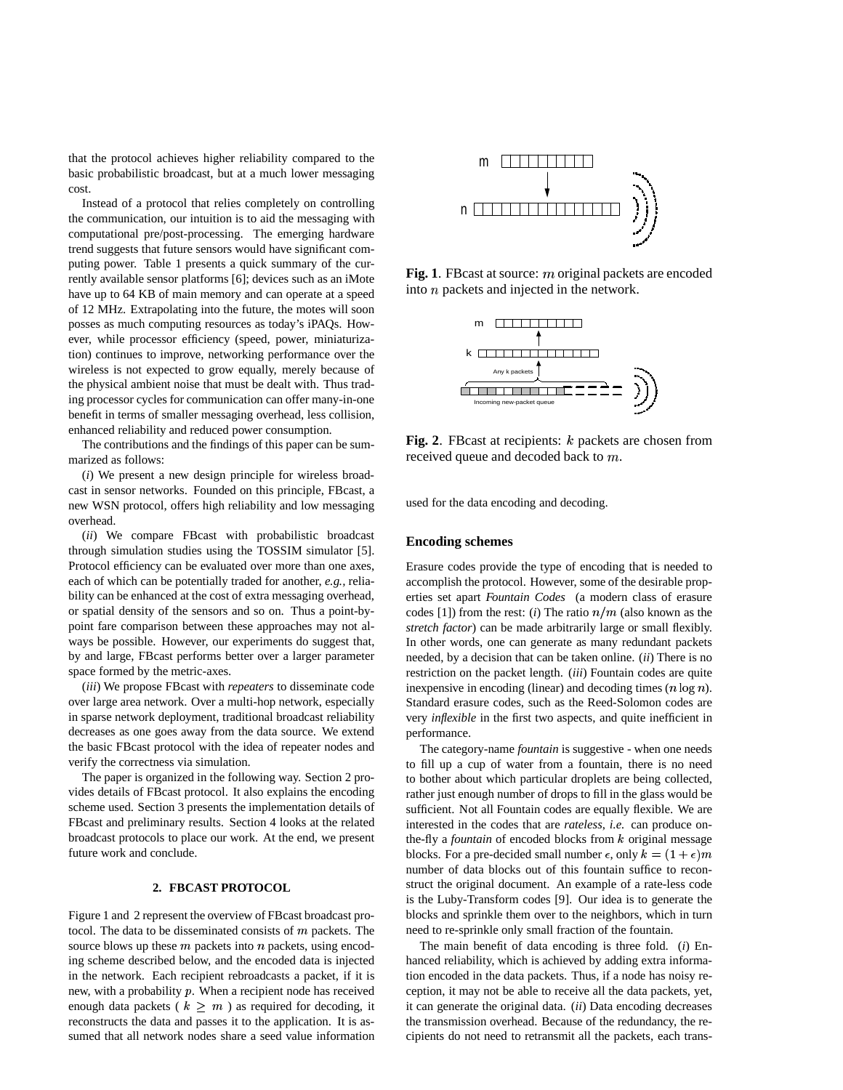that the protocol achieves higher reliability compared to the basic probabilistic broadcast, but at a much lower messaging cost.

Instead of a protocol that relies completely on controlling the communication, our intuition is to aid the messaging with computational pre/post-processing. The emerging hardware trend suggests that future sensors would have significant computing power. Table 1 presents a quick summary of the currently available sensor platforms [6]; devices such as an iMote have up to 64 KB of main memory and can operate at a speed of 12 MHz. Extrapolating into the future, the motes will soon posses as much computing resources as today's iPAQs. However, while processor efficiency (speed, power, miniaturization) continues to improve, networking performance over the wireless is not expected to grow equally, merely because of the physical ambient noise that must be dealt with. Thus trading processor cycles for communication can offer many-in-one benefit in terms of smaller messaging overhead, less collision, enhanced reliability and reduced power consumption.

The contributions and the findings of this paper can be summarized as follows:

(*i*) We present a new design principle for wireless broadcast in sensor networks. Founded on this principle, FBcast, a new WSN protocol, offers high reliability and low messaging overhead.

(*ii*) We compare FBcast with probabilistic broadcast through simulation studies using the TOSSIM simulator [5]. Protocol efficiency can be evaluated over more than one axes, each of which can be potentially traded for another, *e.g.,* reliability can be enhanced at the cost of extra messaging overhead, or spatial density of the sensors and so on. Thus a point-bypoint fare comparison between these approaches may not always be possible. However, our experiments do suggest that, by and large, FBcast performs better over a larger parameter space formed by the metric-axes.

(*iii*) We propose FBcast with *repeaters* to disseminate code over large area network. Over a multi-hop network, especially in sparse network deployment, traditional broadcast reliability decreases as one goes away from the data source. We extend the basic FBcast protocol with the idea of repeater nodes and verify the correctness via simulation.

The paper is organized in the following way. Section 2 provides details of FBcast protocol. It also explains the encoding scheme used. Section 3 presents the implementation details of FBcast and preliminary results. Section 4 looks at the related broadcast protocols to place our work. At the end, we present future work and conclude.

## **2. FBCAST PROTOCOL**

Figure 1 and 2 represent the overview of FBcast broadcast protocol. The data to be disseminated consists of  $m$  packets. The source blows up these  $m$  packets into  $n$  packets, using encoding scheme described below, and the encoded data is injected in the network. Each recipient rebroadcasts a packet, if it is new, with a probability  $p$ . When a recipient node has received enough data packets ( $k \geq m$ ) as required for decoding, it reconstructs the data and passes it to the application. It is assumed that all network nodes share a seed value information



Fig. 1. FBcast at source:  $m$  original packets are encoded into  $n$  packets and injected in the network.



**Fig.** 2. FBcast at recipients:  $k$  packets are chosen from received queue and decoded back to  $m$ .

used for the data encoding and decoding.

## **Encoding schemes**

Erasure codes provide the type of encoding that is needed to accomplish the protocol. However, some of the desirable properties set apart *Fountain Codes* (a modern class of erasure codes [1]) from the rest: (*i*) The ratio  $n/m$  (also known as the *stretch factor*) can be made arbitrarily large or small flexibly. In other words, one can generate as many redundant packets needed, by a decision that can be taken online. (*ii*) There is no restriction on the packet length. (*iii*) Fountain codes are quite inexpensive in encoding (linear) and decoding times  $(n \log n)$ . Standard erasure codes, such as the Reed-Solomon codes are very *inflexible* in the first two aspects, and quite inefficient in performance.

The category-name *fountain* is suggestive - when one needs to fill up a cup of water from a fountain, there is no need to bother about which particular droplets are being collected, rather just enough number of drops to fill in the glass would be sufficient. Not all Fountain codes are equally flexible. We are interested in the codes that are *rateless*, *i.e.* can produce onthe-fly a *fountain* of encoded blocks from  $k$  original message blocks. For a pre-decided small number  $\epsilon$ , only  $k = (1 + \epsilon)m$ number of data blocks out of this fountain suffice to reconstruct the original document. An example of a rate-less code is the Luby-Transform codes [9]. Our idea is to generate the blocks and sprinkle them over to the neighbors, which in turn need to re-sprinkle only small fraction of the fountain.

The main benefit of data encoding is three fold. (*i*) Enhanced reliability, which is achieved by adding extra information encoded in the data packets. Thus, if a node has noisy reception, it may not be able to receive all the data packets, yet, it can generate the original data. (*ii*) Data encoding decreases the transmission overhead. Because of the redundancy, the recipients do not need to retransmit all the packets, each trans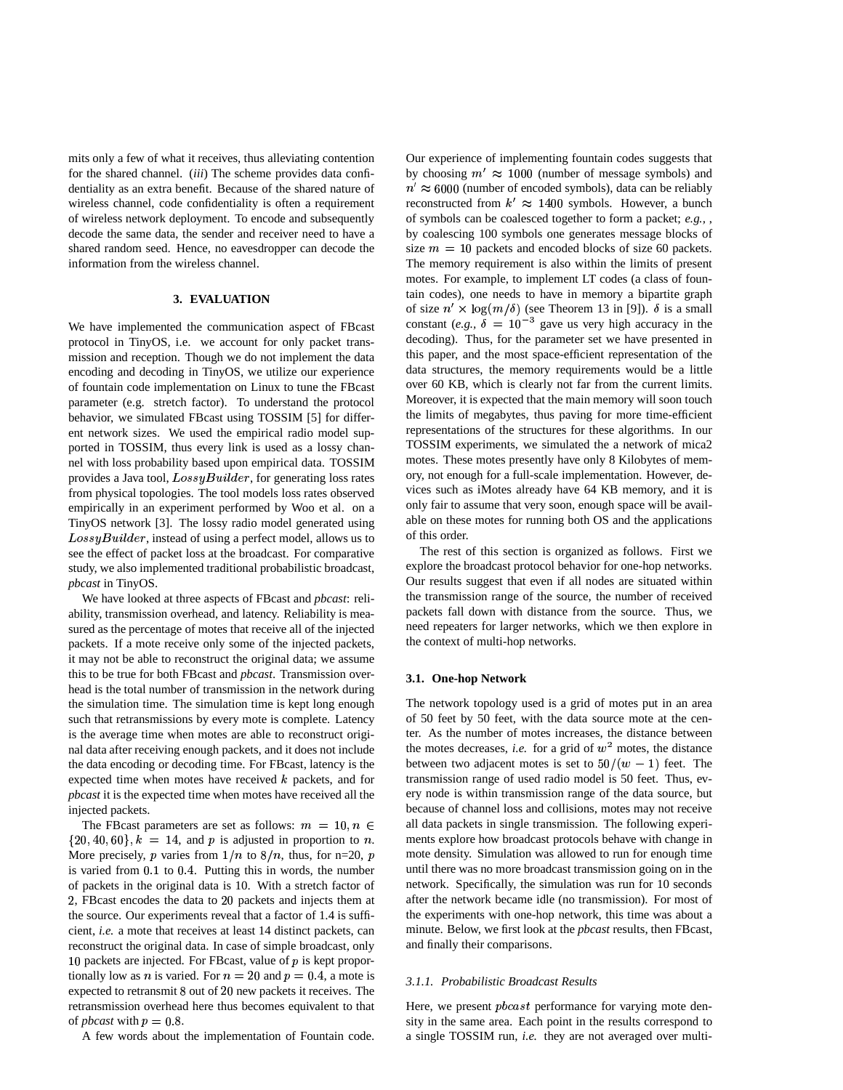mits only a few of what it receives, thus alleviating contention for the shared channel. (*iii*) The scheme provides data confidentiality as an extra benefit. Because of the shared nature of wireless channel, code confidentiality is often a requirement of wireless network deployment. To encode and subsequently decode the same data, the sender and receiver need to have a shared random seed. Hence, no eavesdropper can decode the information from the wireless channel.

# **3. EVALUATION**

We have implemented the communication aspect of FBcast protocol in TinyOS, i.e. we account for only packet transmission and reception. Though we do not implement the data encoding and decoding in TinyOS, we utilize our experience of fountain code implementation on Linux to tune the FBcast parameter (e.g. stretch factor). To understand the protocol behavior, we simulated FBcast using TOSSIM [5] for different network sizes. We used the empirical radio model supported in TOSSIM, thus every link is used as a lossy channel with loss probability based upon empirical data. TOSSIM provides a Java tool,  $LossyBuilder$ , for generating loss rates from physical topologies. The tool models loss rates observed empirically in an experiment performed by Woo et al. on a TinyOS network [3]. The lossy radio model generated using  $LossyBuilder$ , instead of using a perfect model, allows us to see the effect of packet loss at the broadcast. For comparative study, we also implemented traditional probabilistic broadcast, *pbcast* in TinyOS.

We have looked at three aspects of FBcast and *pbcast*: reliability, transmission overhead, and latency. Reliability is measured as the percentage of motes that receive all of the injected packets. If a mote receive only some of the injected packets, it may not be able to reconstruct the original data; we assume this to be true for both FBcast and *pbcast*. Transmission overhead is the total number of transmission in the network during the simulation time. The simulation time is kept long enough such that retransmissions by every mote is complete. Latency is the average time when motes are able to reconstruct original data after receiving enough packets, and it does not include the data encoding or decoding time. For FBcast, latency is the expected time when motes have received  $k$  packets, and for *pbcast* it is the expected time when motes have received all the injected packets.

The FBcast parameters are set as follows:  $m = 10, n \in \mathbb{Z}$  all day  $\{20, 40, 60\}, k = 14$ , and p is adjusted in proportion to n. More precisely, p varies from  $1/n$  to  $8/n$ , thus, for n=20, p is varied from 0.1 to 0.4. Putting this in words, the number of packets in the original data is 10. With a stretch factor of 2, FBcast encodes the data to 20 packets and injects them at the source. Our experiments reveal that a factor of 1.4 is sufficient, *i.e.* a mote that receives at least 14 distinct packets, can reconstruct the original data. In case of simple broadcast, only 10 packets are injected. For FBcast, value of  $p$  is kept proportionally low as *n* is varied. For  $n = 20$  and  $p = 0.4$ , a mote is expected to retransmit 8 out of 20 new packets it receives. The retransmission overhead here thus becomes equivalent to that of *pbcast* with  $p = 0.8$ .

A few words about the implementation of Fountain code.

Our experience of implementing fountain codes suggests that by choosing  $m' \approx 1000$  (number of message symbols) and  $n' \approx 6000$  (number of encoded symbols), data can be reliably reconstructed from  $k' \approx 1400$  symbols. However, a bunch of symbols can be coalesced together to form a packet; *e.g.,* , by coalescing 100 symbols one generates message blocks of size  $m = 10$  packets and encoded blocks of size 60 packets. The memory requirement is also within the limits of present motes. For example, to implement LT codes (a class of fountain codes), one needs to have in memory a bipartite graph of size  $n' \times \log(m/\delta)$  (see Theorem 13 in [9]).  $\delta$  is a small constant (*e.g.*,  $\delta = 10^{-3}$  gave us very high accuracy in the decoding). Thus, for the parameter set we have presented in this paper, and the most space-efficient representation of the data structures, the memory requirements would be a little over 60 KB, which is clearly not far from the current limits. Moreover, it is expected that the main memory will soon touch the limits of megabytes, thus paving for more time-efficient representations of the structures for these algorithms. In our TOSSIM experiments, we simulated the a network of mica2 motes. These motes presently have only 8 Kilobytes of memory, not enough for a full-scale implementation. However, devices such as iMotes already have 64 KB memory, and it is only fair to assume that very soon, enough space will be available on these motes for running both OS and the applications of this order.

The rest of this section is organized as follows. First we explore the broadcast protocol behavior for one-hop networks. Our results suggest that even if all nodes are situated within the transmission range of the source, the number of received packets fall down with distance from the source. Thus, we need repeaters for larger networks, which we then explore in the context of multi-hop networks.

## **3.1. One-hop Network**

The network topology used is a grid of motes put in an area of 50 feet by 50 feet, with the data source mote at the center. As the number of motes increases, the distance between the motes decreases, *i.e.* for a grid of  $w^2$  motes, the distance between two adjacent motes is set to  $50/(w-1)$  feet. The transmission range of used radio model is 50 feet. Thus, every node is within transmission range of the data source, but because of channel loss and collisions, motes may not receive all data packets in single transmission. The following experiments explore how broadcast protocols behave with change in mote density. Simulation was allowed to run for enough time until there was no more broadcast transmission going on in the network. Specifically, the simulation was run for 10 seconds after the network became idle (no transmission). For most of the experiments with one-hop network, this time was about a minute. Below, we first look at the *pbcast* results, then FBcast, and finally their comparisons.

## *3.1.1. Probabilistic Broadcast Results*

Here, we present  $p\textrm{b}cast$  performance for varying mote density in the same area. Each point in the results correspond to a single TOSSIM run, *i.e.* they are not averaged over multi-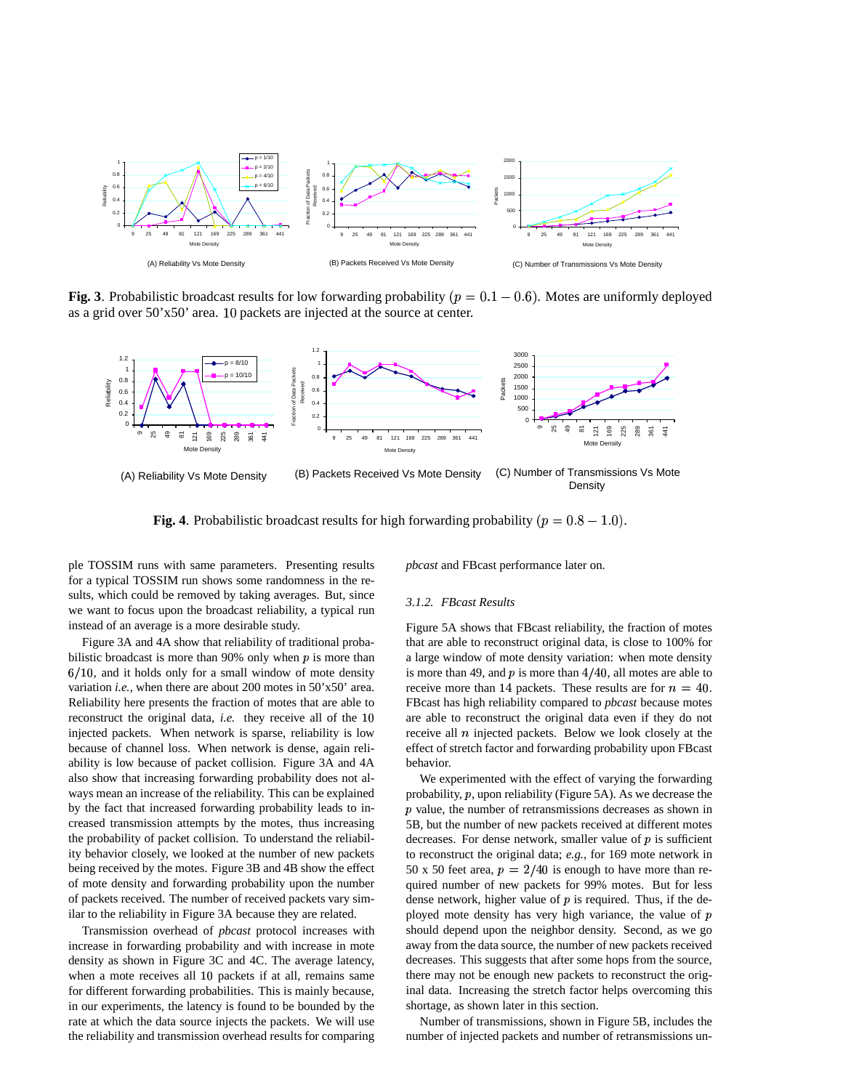

**Fig. 3**. Probabilistic broadcast results for low forwarding probability ( $p = 0.1 - 0.6$ ). Motes are uniformly deployed as a grid over  $50^\circ x 50^\circ$  area. 10 packets are injected at the source at center.



**Fig. 4**. Probabilistic broadcast results for high forwarding probability  $(p = 0.8 - 1.0)$ .

ple TOSSIM runs with same parameters. Presenting results for a typical TOSSIM run shows some randomness in the results, which could be removed by taking averages. But, since we want to focus upon the broadcast reliability, a typical run instead of an average is a more desirable study.

Figure 3A and 4A show that reliability of traditional probabilistic broadcast is more than 90% only when  $p$  is more than  $6/10$ , and it holds only for a small window of mote density variation *i.e.,* when there are about 200 motes in 50'x50' area. Reliability here presents the fraction of motes that are able to reconstruct the original data, *i.e.* they receive all of the injected packets. When network is sparse, reliability is low because of channel loss. When network is dense, again reliability is low because of packet collision. Figure 3A and 4A also show that increasing forwarding probability does not always mean an increase of the reliability. This can be explained by the fact that increased forwarding probability leads to increased transmission attempts by the motes, thus increasing the probability of packet collision. To understand the reliability behavior closely, we looked at the number of new packets being received by the motes. Figure 3B and 4B show the effect of mote density and forwarding probability upon the number of packets received. The number of received packets vary similar to the reliability in Figure 3A because they are related.

Transmission overhead of *pbcast* protocol increases with increase in forwarding probability and with increase in mote density as shown in Figure 3C and 4C. The average latency, when a mote receives all 10 packets if at all, remains same for different forwarding probabilities. This is mainly because, in our experiments, the latency is found to be bounded by the rate at which the data source injects the packets. We will use the reliability and transmission overhead results for comparing *pbcast* and FBcast performance later on.

#### *3.1.2. FBcast Results*

Figure 5A shows that FBcast reliability, the fraction of motes that are able to reconstruct original data, is close to 100% for a large window of mote density variation: when mote density is more than 49, and  $p$  is more than  $4/40$ , all motes are able to receive more than 14 packets. These results are for  $n = 40$ . FBcast has high reliability compared to *pbcast* because motes are able to reconstruct the original data even if they do not receive all  $n$  injected packets. Below we look closely at the effect of stretch factor and forwarding probability upon FBcast behavior.

We experimented with the effect of varying the forwarding probability,  $p$ , upon reliability (Figure 5A). As we decrease the  *value, the number of retransmissions decreases as shown in* 5B, but the number of new packets received at different motes decreases. For dense network, smaller value of  $p$  is sufficient to reconstruct the original data; *e.g.*, for 169 mote network in 50 x 50 feet area,  $p = 2/40$  is enough to have more than required number of new packets for 99% motes. But for less dense network, higher value of  $p$  is required. Thus, if the deployed mote density has very high variance, the value of  $p$ should depend upon the neighbor density. Second, as we go away from the data source, the number of new packets received decreases. This suggests that after some hops from the source, there may not be enough new packets to reconstruct the original data. Increasing the stretch factor helps overcoming this shortage, as shown later in this section.

Number of transmissions, shown in Figure 5B, includes the number of injected packets and number of retransmissions un-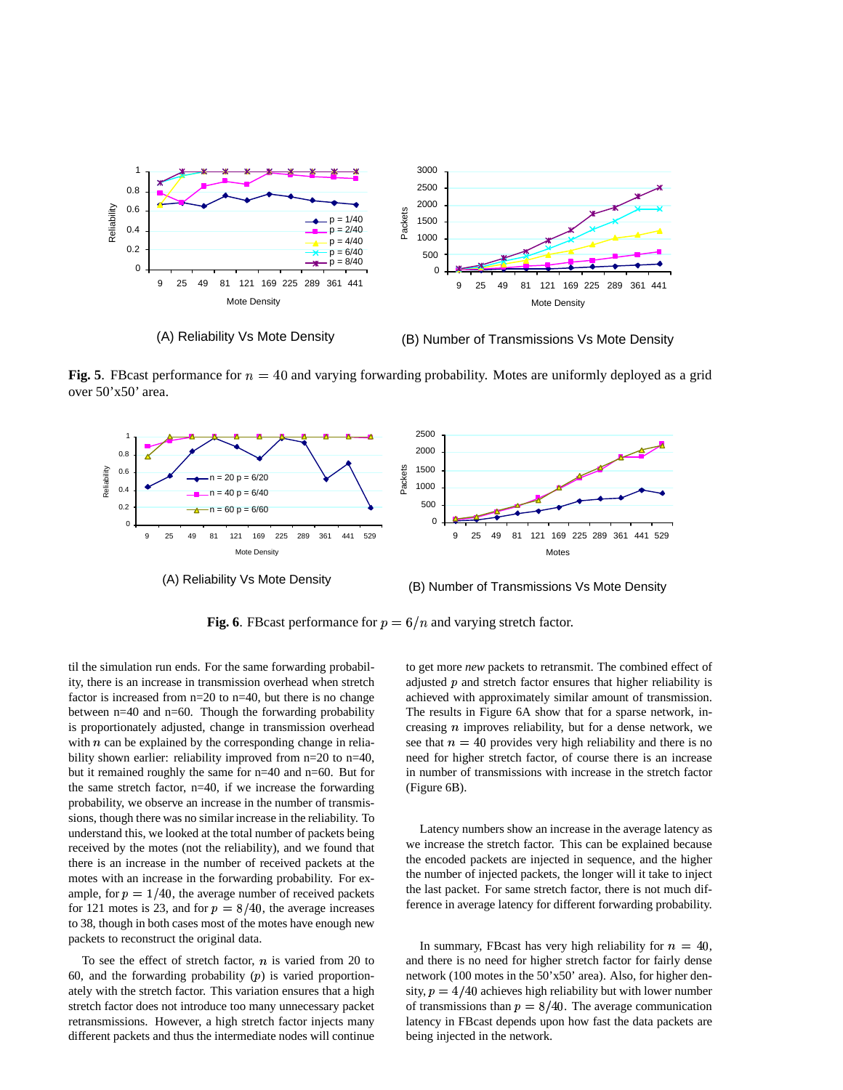

(A) Reliability Vs Mote Density

(B) Number of Transmissions Vs Mote Density

**Fig.** 5. FBcast performance for  $n = 40$  and varying forwarding probability. Motes are uniformly deployed as a grid over 50'x50' area.



**Fig. 6.** FBcast performance for  $p = 6/n$  and varying stretch factor.

til the simulation run ends. For the same forwarding probability, there is an increase in transmission overhead when stretch factor is increased from n=20 to n=40, but there is no change between n=40 and n=60. Though the forwarding probability is proportionately adjusted, change in transmission overhead with  $n$  can be explained by the corresponding change in reliability shown earlier: reliability improved from  $n=20$  to  $n=40$ , but it remained roughly the same for n=40 and n=60. But for the same stretch factor, n=40, if we increase the forwarding probability, we observe an increase in the number of transmissions, though there was no similar increase in the reliability. To understand this, we looked at the total number of packets being received by the motes (not the reliability), and we found that there is an increase in the number of received packets at the motes with an increase in the forwarding probability. For example, for  $p = 1/40$ , the average number of received packets for 121 motes is 23, and for  $p = 8/40$ , the average increases to 38, though in both cases most of the motes have enough new packets to reconstruct the original data.

To see the effect of stretch factor,  $n$  is varied from 20 to 60, and the forwarding probability  $(p)$  is varied proportionately with the stretch factor. This variation ensures that a high stretch factor does not introduce too many unnecessary packet retransmissions. However, a high stretch factor injects many different packets and thus the intermediate nodes will continue

to get more *new* packets to retransmit. The combined effect of adjusted  $p$  and stretch factor ensures that higher reliability is achieved with approximately similar amount of transmission. The results in Figure 6A show that for a sparse network, increasing  $n$  improves reliability, but for a dense network, we see that  $n = 40$  provides very high reliability and there is no need for higher stretch factor, of course there is an increase in number of transmissions with increase in the stretch factor (Figure 6B).

Latency numbers show an increase in the average latency as we increase the stretch factor. This can be explained because the encoded packets are injected in sequence, and the higher the number of injected packets, the longer will it take to inject the last packet. For same stretch factor, there is not much difference in average latency for different forwarding probability.

In summary, FBcast has very high reliability for  $n = 40$ , and there is no need for higher stretch factor for fairly dense network (100 motes in the 50'x50' area). Also, for higher density,  $p = 4/40$  achieves high reliability but with lower number of transmissions than  $p = 8/40$ . The average communication latency in FBcast depends upon how fast the data packets are being injected in the network.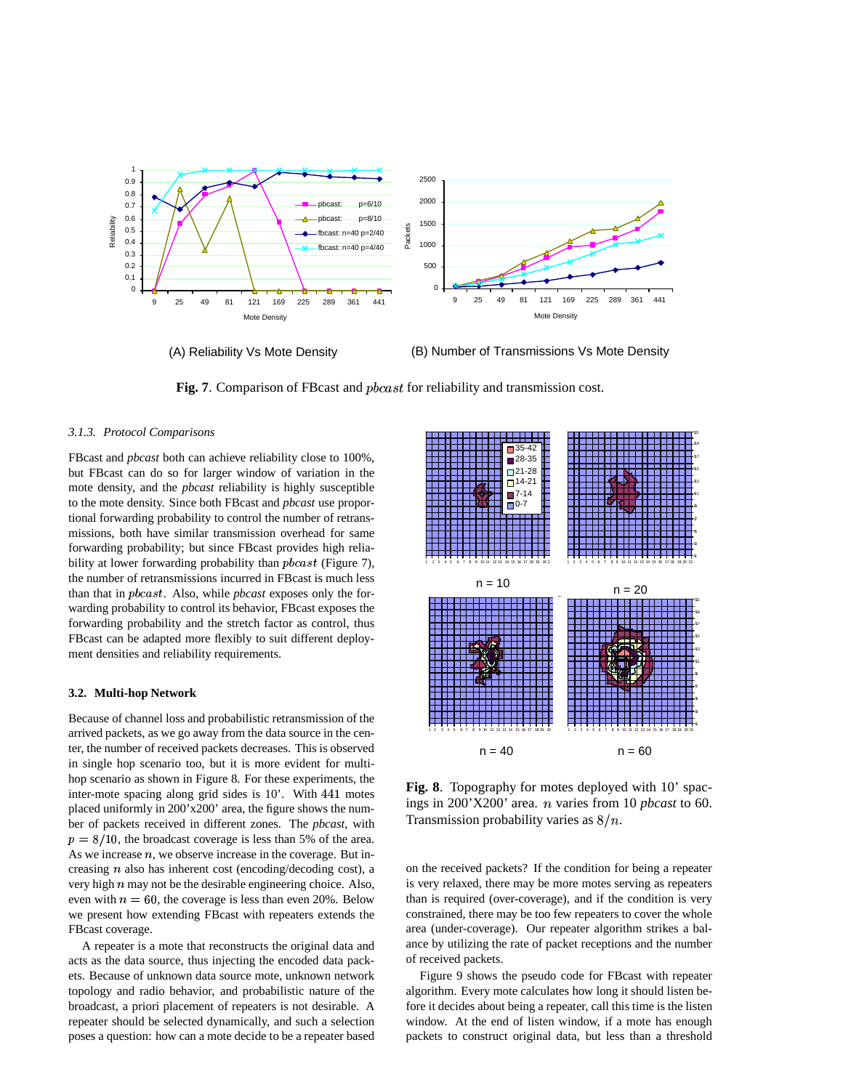

(A) Reliability Vs Mote Density

(B) Number of Transmissions Vs Mote Density

Fig. 7. Comparison of FBcast and *phcast* for reliability and transmission cost.

# *3.1.3. Protocol Comparisons*

FBcast and *pbcast* both can achieve reliability close to 100%, but FBcast can do so for larger window of variation in the mote density, and the *pbcast* reliability is highly susceptible to the mote density. Since both FBcast and *pbcast* use proportional forwarding probability to control the number of retransmissions, both have similar transmission overhead for same forwarding probability; but since FBcast provides high reliability at lower forwarding probability than  $p \text{ } back$  (Figure 7), the number of retransmissions incurred in FBcast is much less than that in *pbcast*. Also, while *pbcast* exposes only the forwarding probability to control its behavior, FBcast exposes the forwarding probability and the stretch factor as control, thus FBcast can be adapted more flexibly to suit different deployment densities and reliability requirements.

## **3.2. Multi-hop Network**

Because of channel loss and probabilistic retransmission of the arrived packets, as we go away from the data source in the center, the number of received packets decreases. This is observed in single hop scenario too, but it is more evident for multihop scenario as shown in Figure 8. For these experiments, the inter-mote spacing along grid sides is 10'. With 441 motes placed uniformly in 200'x200' area, the figure shows the number of packets received in different zones. The *pbcast*, with  $p = 8/10$ , the broadcast coverage is less than 5% of the area. As we increase  $n$ , we observe increase in the coverage. But increasing  $n$  also has inherent cost (encoding/decoding cost), a very high  $n$  may not be the desirable engineering choice. Also, even with  $n = 60$ , the coverage is less than even 20%. Below we present how extending FBcast with repeaters extends the FBcast coverage.

A repeater is a mote that reconstructs the original data and acts as the data source, thus injecting the encoded data packets. Because of unknown data source mote, unknown network topology and radio behavior, and probabilistic nature of the broadcast, a priori placement of repeaters is not desirable. A repeater should be selected dynamically, and such a selection poses a question: how can a mote decide to be a repeater based



**Fig. 8**. Topography for motes deployed with 10' spacings in 200'X200' area. *n* varies from 10 *pbcast* to 60. Transmission probability varies as  $8/n$ .

on the received packets? If the condition for being a repeater is very relaxed, there may be more motes serving as repeaters than is required (over-coverage), and if the condition is very constrained, there may be too few repeaters to cover the whole area (under-coverage). Our repeater algorithm strikes a balance by utilizing the rate of packet receptions and the number of received packets.

Figure 9 shows the pseudo code for FBcast with repeater algorithm. Every mote calculates how long it should listen before it decides about being a repeater, call this time is the listen window. At the end of listen window, if a mote has enough packets to construct original data, but less than a threshold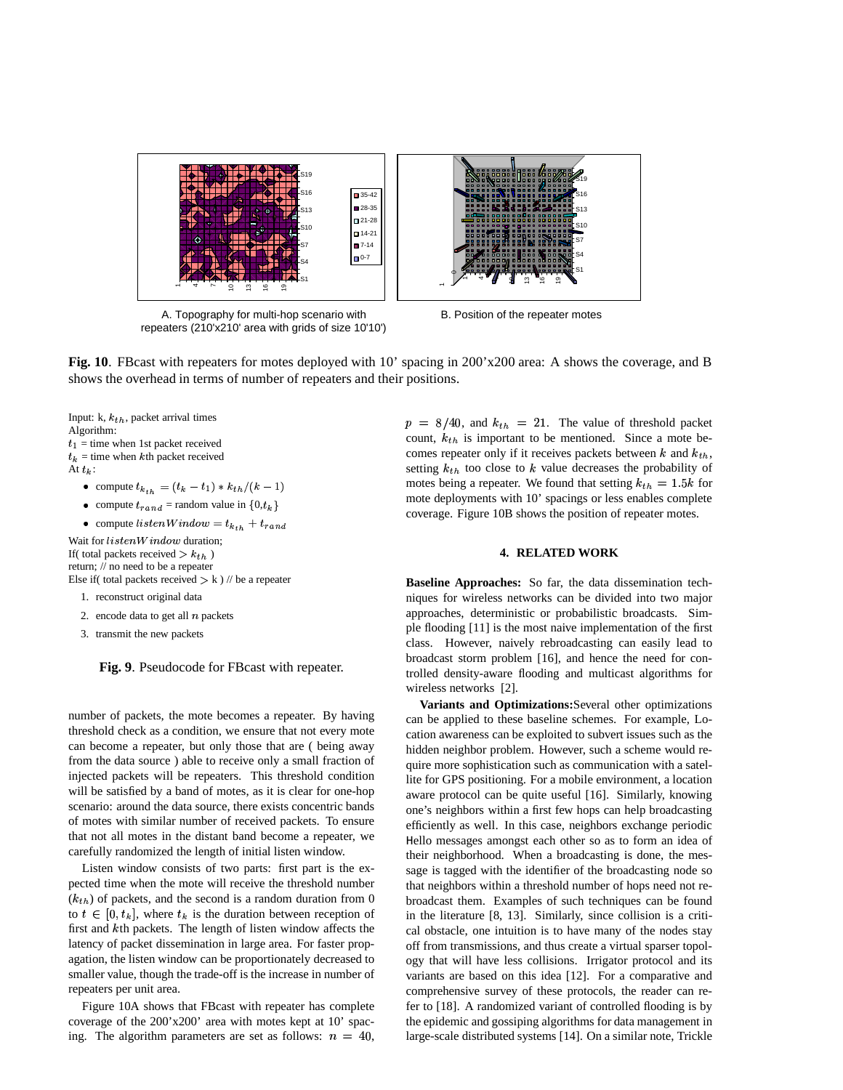

A. Topography for multi-hop scenario with repeaters (210'x210' area with grids of size 10'10')

B. Position of the repeater motes



Input: k,  $k_{th}$ , packet arrival times Algorithm:  $t_1$  = time when 1st packet received  $t_k =$  time when k<sup>th</sup> packet received At  $t_k$ : o compute  $t_{k_{th}} = (t_k - t_1) * k_{th}/(k-1)$ 

• compute  $t_{rand}$  = random value in  $\{0, t_k\}$ 

• compute 
$$
listemWindow = t_{k_{th}} + t_{rand}
$$

Wait for  $listenWindow$  duration; If( total packets received  $> k_{th}$  ) return; // no need to be a repeater Else if( total packets received  $> k$  ) // be a repeater

1. reconstruct original data

2. encode data to get all  $n$  packets

3. transmit the new packets

**Fig. 9**. Pseudocode for FBcast with repeater.

number of packets, the mote becomes a repeater. By having threshold check as a condition, we ensure that not every mote can become a repeater, but only those that are ( being away from the data source ) able to receive only a small fraction of injected packets will be repeaters. This threshold condition will be satisfied by a band of motes, as it is clear for one-hop scenario: around the data source, there exists concentric bands of motes with similar number of received packets. To ensure that not all motes in the distant band become a repeater, we carefully randomized the length of initial listen window.

Listen window consists of two parts: first part is the expected time when the mote will receive the threshold number  $(k<sub>th</sub>)$  of packets, and the second is a random duration from 0 to  $t \in [0, t_k]$ , where  $t_k$  is the duration between reception of first and kth packets. The length of listen window affects the latency of packet dissemination in large area. For faster propagation, the listen window can be proportionately decreased to smaller value, though the trade-off is the increase in number of repeaters per unit area.

Figure 10A shows that FBcast with repeater has complete coverage of the 200'x200' area with motes kept at 10' spacing. The algorithm parameters are set as follows:  $n = 40$ ,

 $p = 8/40$ , and  $k_{th} = 21$ . The value of threshold packet count,  $k_{th}$  is important to be mentioned. Since a mote becomes repeater only if it receives packets between  $k$  and  $k_{th}$ , setting  $k_{th}$  too close to k value decreases the probability of motes being a repeater. We found that setting  $k_{th} = 1.5k$  for mote deployments with 10' spacings or less enables complete coverage. Figure 10B shows the position of repeater motes.

# **4. RELATED WORK**

**Baseline Approaches:** So far, the data dissemination techniques for wireless networks can be divided into two major approaches, deterministic or probabilistic broadcasts. Simple flooding [11] is the most naive implementation of the first class. However, naively rebroadcasting can easily lead to broadcast storm problem [16], and hence the need for controlled density-aware flooding and multicast algorithms for wireless networks [2].

**Variants and Optimizations:**Several other optimizations can be applied to these baseline schemes. For example, Location awareness can be exploited to subvert issues such as the hidden neighbor problem. However, such a scheme would require more sophistication such as communication with a satellite for GPS positioning. For a mobile environment, a location aware protocol can be quite useful [16]. Similarly, knowing one's neighbors within a first few hops can help broadcasting efficiently as well. In this case, neighbors exchange periodic Hello messages amongst each other so as to form an idea of their neighborhood. When a broadcasting is done, the message is tagged with the identifier of the broadcasting node so that neighbors within a threshold number of hops need not rebroadcast them. Examples of such techniques can be found in the literature [8, 13]. Similarly, since collision is a critical obstacle, one intuition is to have many of the nodes stay off from transmissions, and thus create a virtual sparser topology that will have less collisions. Irrigator protocol and its variants are based on this idea [12]. For a comparative and comprehensive survey of these protocols, the reader can refer to [18]. A randomized variant of controlled flooding is by the epidemic and gossiping algorithms for data management in large-scale distributed systems [14]. On a similar note, Trickle